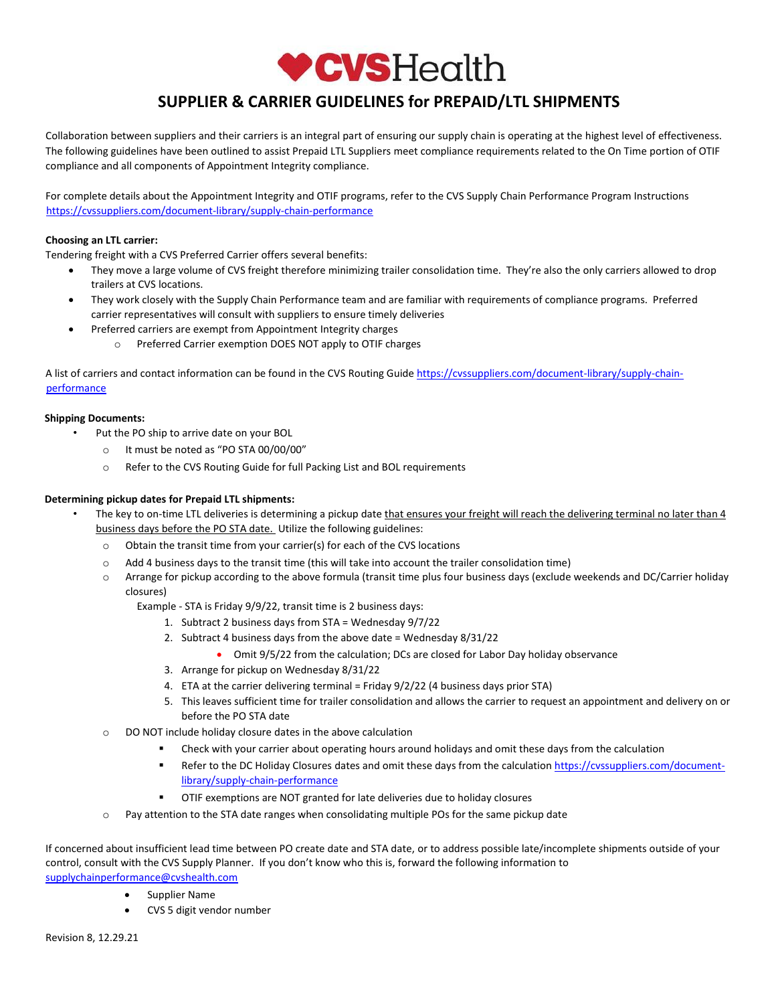

# **SUPPLIER & CARRIER GUIDELINES for PREPAID/LTL SHIPMENTS**

Collaboration between suppliers and their carriers is an integral part of ensuring our supply chain is operating at the highest level of effectiveness. The following guidelines have been outlined to assist Prepaid LTL Suppliers meet compliance requirements related to the On Time portion of OTIF compliance and all components of Appointment Integrity compliance.

For complete details about the Appointment Integrity and OTIF programs, refer to the CVS Supply Chain Performance Program Instructions <https://cvssuppliers.com/document-library/supply-chain-performance>

#### **Choosing an LTL carrier:**

Tendering freight with a CVS Preferred Carrier offers several benefits:

- They move a large volume of CVS freight therefore minimizing trailer consolidation time. They're also the only carriers allowed to drop trailers at CVS locations.
- They work closely with the Supply Chain Performance team and are familiar with requirements of compliance programs. Preferred carrier representatives will consult with suppliers to ensure timely deliveries
	- Preferred carriers are exempt from Appointment Integrity charges
		- o Preferred Carrier exemption DOES NOT apply to OTIF charges

A list of carriers and contact information can be found in the CVS Routing Guide [https://cvssuppliers.com/document-library/supply-chain](https://cvssuppliers.com/document-library/supply-chain-performance)[performance](https://cvssuppliers.com/document-library/supply-chain-performance) 

#### **Shipping Documents:**

- Put the PO ship to arrive date on your BOL
	- o It must be noted as "PO STA 00/00/00"
	- o Refer to the CVS Routing Guide for full Packing List and BOL requirements

#### **Determining pickup dates for Prepaid LTL shipments:**

- The key to on-time LTL deliveries is determining a pickup date that ensures your freight will reach the delivering terminal no later than 4 business days before the PO STA date. Utilize the following guidelines:
	- o Obtain the transit time from your carrier(s) for each of the CVS locations
	- o Add 4 business days to the transit time (this will take into account the trailer consolidation time)
	- o Arrange for pickup according to the above formula (transit time plus four business days (exclude weekends and DC/Carrier holiday closures)
		- Example ‐ STA is Friday 9/9/22, transit time is 2 business days:
			- 1. Subtract 2 business days from STA = Wednesday 9/7/22
			- 2. Subtract 4 business days from the above date = Wednesday 8/31/22
				- Omit 9/5/22 from the calculation; DCs are closed for Labor Day holiday observance
			- 3. Arrange for pickup on Wednesday 8/31/22
			- 4. ETA at the carrier delivering terminal = Friday 9/2/22 (4 business days prior STA)
			- 5. This leaves sufficient time for trailer consolidation and allows the carrier to request an appointment and delivery on or before the PO STA date
	- o DO NOT include holiday closure dates in the above calculation
		- Check with your carrier about operating hours around holidays and omit these days from the calculation
		- Refer to the DC Holiday Closures dates and omit these days from the calculation [https://cvssuppliers.com/document](https://cvssuppliers.com/document-library/supply-chain-performance)[library/supply-chain-performance](https://cvssuppliers.com/document-library/supply-chain-performance)
		- OTIF exemptions are NOT granted for late deliveries due to holiday closures
	- o Pay attention to the STA date ranges when consolidating multiple POs for the same pickup date

If concerned about insufficient lead time between PO create date and STA date, or to address possible late/incomplete shipments outside of your control, consult with the CVS Supply Planner. If you don't know who this is, forward the following information to [supplychainperformance@cvshealth.com](mailto:supplychainperformance@cvshealth.com)

- Supplier Name
- CVS 5 digit vendor number